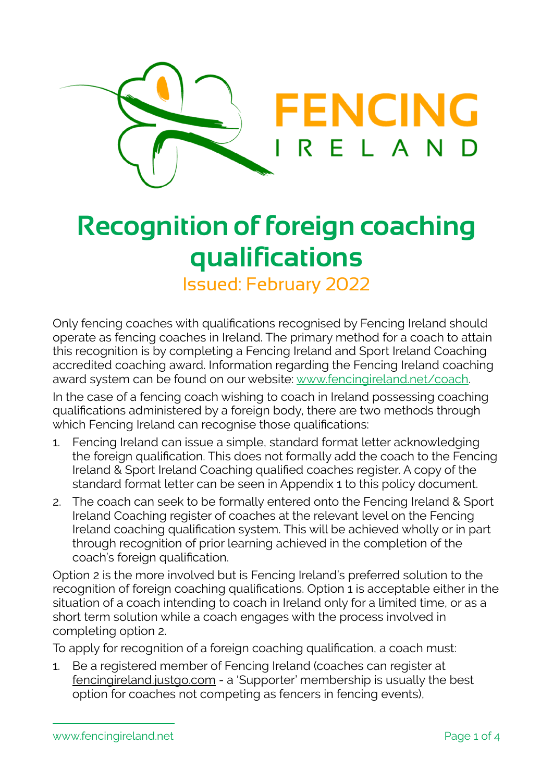

# **Recognition of foreign coaching qualifications**

Issued: February 2022

Only fencing coaches with qualifications recognised by Fencing Ireland should operate as fencing coaches in Ireland. The primary method for a coach to attain this recognition is by completing a Fencing Ireland and Sport Ireland Coaching accredited coaching award. Information regarding the Fencing Ireland coaching award system can be found on our website: [www.fencingireland.net/coach.](http://www.fencingireland.net/coach)

In the case of a fencing coach wishing to coach in Ireland possessing coaching qualifications administered by a foreign body, there are two methods through which Fencing Ireland can recognise those qualifications:

- 1. Fencing Ireland can issue a simple, standard format letter acknowledging the foreign qualification. This does not formally add the coach to the Fencing Ireland & Sport Ireland Coaching qualified coaches register. A copy of the standard format letter can be seen in Appendix 1 to this policy document.
- 2. The coach can seek to be formally entered onto the Fencing Ireland & Sport Ireland Coaching register of coaches at the relevant level on the Fencing Ireland coaching qualification system. This will be achieved wholly or in part through recognition of prior learning achieved in the completion of the coach's foreign qualification.

Option 2 is the more involved but is Fencing Ireland's preferred solution to the recognition of foreign coaching qualifications. Option 1 is acceptable either in the situation of a coach intending to coach in Ireland only for a limited time, or as a short term solution while a coach engages with the process involved in completing option 2.

To apply for recognition of a foreign coaching qualification, a coach must:

1. Be a registered member of Fencing Ireland (coaches can register at [fencingireland.justgo.com](http://fencingireland.justgo.com) - a 'Supporter' membership is usually the best option for coaches not competing as fencers in fencing events),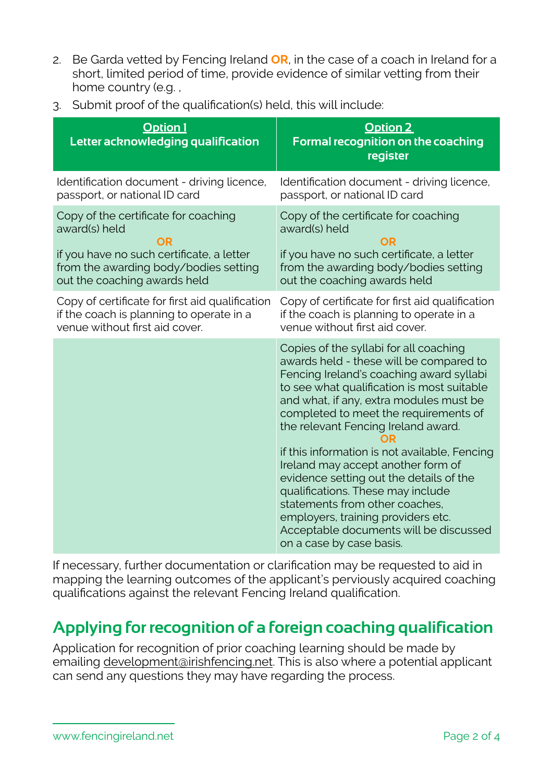- 2. Be Garda vetted by Fencing Ireland **OR**, in the case of a coach in Ireland for a short, limited period of time, provide evidence of similar vetting from their home country (e.g. ,
- 3. Submit proof of the qualification(s) held, this will include:

| <b>Option 1</b><br>Letter acknowledging qualification | Option 2<br>Formal recognition on the coaching<br>register                                                                                                                                                                                                                                                                                                                                                                                                                                                                                                                                                                  |
|-------------------------------------------------------|-----------------------------------------------------------------------------------------------------------------------------------------------------------------------------------------------------------------------------------------------------------------------------------------------------------------------------------------------------------------------------------------------------------------------------------------------------------------------------------------------------------------------------------------------------------------------------------------------------------------------------|
| Identification document - driving licence,            | Identification document - driving licence,                                                                                                                                                                                                                                                                                                                                                                                                                                                                                                                                                                                  |
| passport, or national ID card                         | passport, or national ID card                                                                                                                                                                                                                                                                                                                                                                                                                                                                                                                                                                                               |
| Copy of the certificate for coaching                  | Copy of the certificate for coaching                                                                                                                                                                                                                                                                                                                                                                                                                                                                                                                                                                                        |
| award(s) held                                         | award(s) held                                                                                                                                                                                                                                                                                                                                                                                                                                                                                                                                                                                                               |
| OR                                                    | OR                                                                                                                                                                                                                                                                                                                                                                                                                                                                                                                                                                                                                          |
| if you have no such certificate, a letter             | if you have no such certificate, a letter                                                                                                                                                                                                                                                                                                                                                                                                                                                                                                                                                                                   |
| from the awarding body/bodies setting                 | from the awarding body/bodies setting                                                                                                                                                                                                                                                                                                                                                                                                                                                                                                                                                                                       |
| out the coaching awards held                          | out the coaching awards held                                                                                                                                                                                                                                                                                                                                                                                                                                                                                                                                                                                                |
| Copy of certificate for first aid qualification       | Copy of certificate for first aid qualification                                                                                                                                                                                                                                                                                                                                                                                                                                                                                                                                                                             |
| if the coach is planning to operate in a              | if the coach is planning to operate in a                                                                                                                                                                                                                                                                                                                                                                                                                                                                                                                                                                                    |
| venue without first aid cover.                        | venue without first aid cover.                                                                                                                                                                                                                                                                                                                                                                                                                                                                                                                                                                                              |
|                                                       | Copies of the syllabi for all coaching<br>awards held - these will be compared to<br>Fencing Ireland's coaching award syllabi<br>to see what qualification is most suitable<br>and what, if any, extra modules must be<br>completed to meet the requirements of<br>the relevant Fencing Ireland award.<br>if this information is not available, Fencing<br>Ireland may accept another form of<br>evidence setting out the details of the<br>qualifications. These may include<br>statements from other coaches,<br>employers, training providers etc.<br>Acceptable documents will be discussed<br>on a case by case basis. |

If necessary, further documentation or clarification may be requested to aid in mapping the learning outcomes of the applicant's perviously acquired coaching qualifications against the relevant Fencing Ireland qualification.

## **Applying for recognition of a foreign coaching qualification**

Application for recognition of prior coaching learning should be made by emailing [development@irishfencing.net.](mailto:development@irishfencing.net) This is also where a potential applicant can send any questions they may have regarding the process.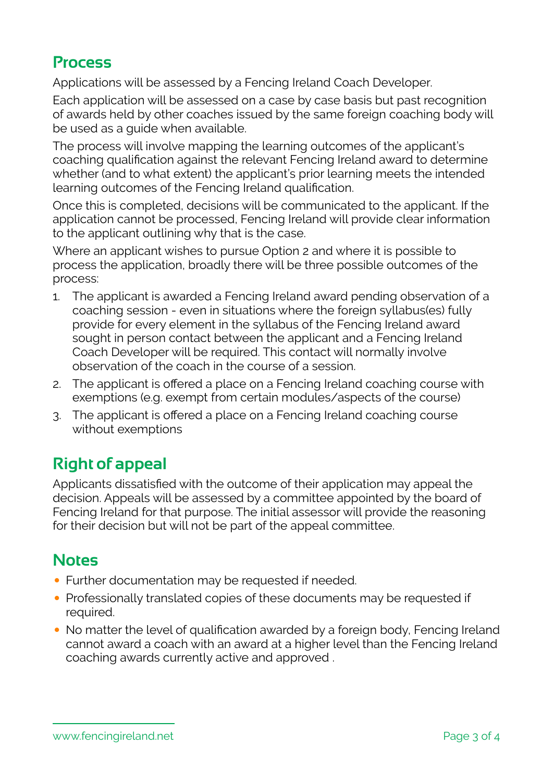#### **Process**

Applications will be assessed by a Fencing Ireland Coach Developer.

Each application will be assessed on a case by case basis but past recognition of awards held by other coaches issued by the same foreign coaching body will be used as a guide when available.

The process will involve mapping the learning outcomes of the applicant's coaching qualification against the relevant Fencing Ireland award to determine whether (and to what extent) the applicant's prior learning meets the intended learning outcomes of the Fencing Ireland qualification.

Once this is completed, decisions will be communicated to the applicant. If the application cannot be processed, Fencing Ireland will provide clear information to the applicant outlining why that is the case.

Where an applicant wishes to pursue Option 2 and where it is possible to process the application, broadly there will be three possible outcomes of the process:

- 1. The applicant is awarded a Fencing Ireland award pending observation of a coaching session - even in situations where the foreign syllabus(es) fully provide for every element in the syllabus of the Fencing Ireland award sought in person contact between the applicant and a Fencing Ireland Coach Developer will be required. This contact will normally involve observation of the coach in the course of a session.
- 2. The applicant is offered a place on a Fencing Ireland coaching course with exemptions (e.g. exempt from certain modules/aspects of the course)
- 3. The applicant is offered a place on a Fencing Ireland coaching course without exemptions

# **Right of appeal**

Applicants dissatisfied with the outcome of their application may appeal the decision. Appeals will be assessed by a committee appointed by the board of Fencing Ireland for that purpose. The initial assessor will provide the reasoning for their decision but will not be part of the appeal committee.

### **Notes**

- Further documentation may be requested if needed.
- Professionally translated copies of these documents may be requested if required.
- No matter the level of qualification awarded by a foreign body, Fencing Ireland cannot award a coach with an award at a higher level than the Fencing Ireland coaching awards currently active and approved .